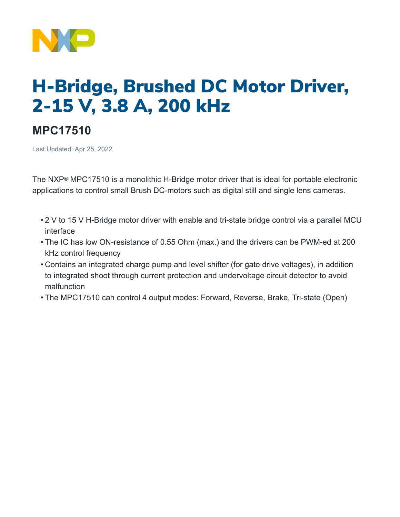

## H-Bridge, Brushed DC Motor Driver, 2-15 V, 3.8 A, 200 kHz

## **MPC17510**

Last Updated: Apr 25, 2022

The NXP® MPC17510 is a monolithic H-Bridge motor driver that is ideal for portable electronic applications to control small Brush DC-motors such as digital still and single lens cameras.

- 2 V to 15 V H-Bridge motor driver with enable and tri-state bridge control via a parallel MCU interface
- The IC has low ON-resistance of 0.55 Ohm (max.) and the drivers can be PWM-ed at 200 kHz control frequency
- Contains an integrated charge pump and level shifter (for gate drive voltages), in addition to integrated shoot through current protection and undervoltage circuit detector to avoid malfunction
- The MPC17510 can control 4 output modes: Forward, Reverse, Brake, Tri-state (Open)